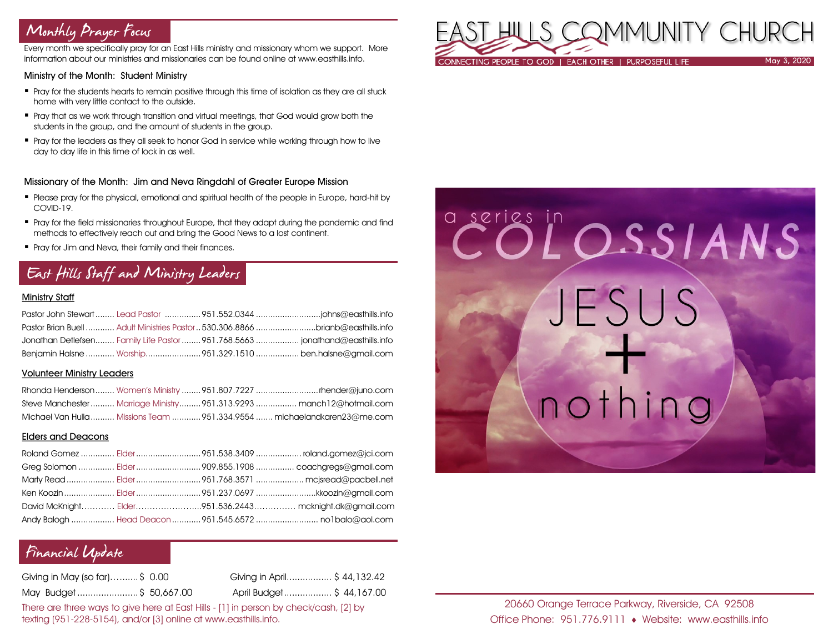# Monthly Prayer Focus

Every month we specifically pray for an East Hills ministry and missionary whom we support. More information about our ministries and missionaries can be found online at www.easthills.info.

### Ministry of the Month: Student Ministry

- Pray for the students hearts to remain positive through this time of isolation as they are all stuck home with very little contact to the outside.
- Pray that as we work through transition and virtual meetings, that God would grow both the students in the group, and the amount of students in the group.
- Pray for the leaders as they all seek to honor God in service while working through how to live day to day life in this time of lock in as well.

### Missionary of the Month: Jim and Neva Ringdahl of Greater Europe Mission

- Please pray for the physical, emotional and spiritual health of the people in Europe, hard-hit by COVID-19.
- Pray for the field missionaries throughout Europe, that they adapt during the pandemic and find methods to effectively reach out and bring the Good News to a lost continent.
- **Pray for Jim and Neva, their family and their finances.**

# East Hills Staff and Ministry Leaders

## Ministry Staff

| Pastor Brian Buell  Adult Ministries Pastor  530.306.8866 brianb@easthills.info |  |
|---------------------------------------------------------------------------------|--|
| Jonathan Detlefsen Family Life Pastor  951.768.5663  jonathand@easthills.info   |  |
| Benjamin Halsne  Worship951.329.1510  ben.halsne@gmail.com                      |  |

#### Volunteer Ministry Leaders

|  | Steve Manchester  Marriage Ministry  951.313.9293  manch12@hotmail.com  |
|--|-------------------------------------------------------------------------|
|  | Michael Van Hulla  Missions Team 951.334.9554  michaelandkaren23@me.com |

#### Elders and Deacons

|  | Ken Koozin  Elder 951.237.0697 kkoozin@gmail.com        |
|--|---------------------------------------------------------|
|  | David McKnight Elder951.536.2443 mcknight.dk@gmail.com  |
|  | Andy Balogh  Head Deacon  951.545.6572  no1balo@aol.com |

## Financial Update

| Giving in May (so far)\$ 0.00 | Giving in April \$44,132.42 |  |
|-------------------------------|-----------------------------|--|
| May Budget\$ 50,667.00        | April Budget\$ 44,167.00    |  |

There are three ways to give here at East Hills - [1] in person by check/cash, [2] by texting (951-228-5154), and/or [3] online at www.easthills.info.